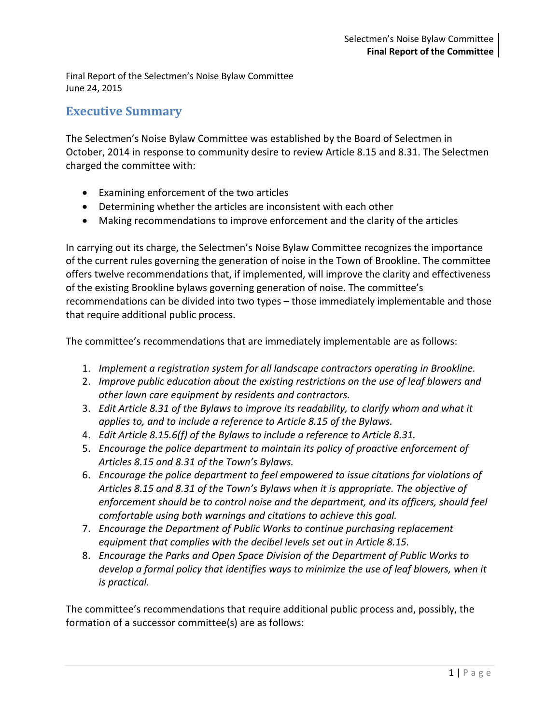Final Report of the Selectmen's Noise Bylaw Committee June 24, 2015

## **Executive Summary**

The Selectmen's Noise Bylaw Committee was established by the Board of Selectmen in October, 2014 in response to community desire to review Article 8.15 and 8.31. The Selectmen charged the committee with:

- Examining enforcement of the two articles
- Determining whether the articles are inconsistent with each other
- Making recommendations to improve enforcement and the clarity of the articles

In carrying out its charge, the Selectmen's Noise Bylaw Committee recognizes the importance of the current rules governing the generation of noise in the Town of Brookline. The committee offers twelve recommendations that, if implemented, will improve the clarity and effectiveness of the existing Brookline bylaws governing generation of noise. The committee's recommendations can be divided into two types – those immediately implementable and those that require additional public process.

The committee's recommendations that are immediately implementable are as follows:

- 1. *Implement a registration system for all landscape contractors operating in Brookline.*
- 2. *Improve public education about the existing restrictions on the use of leaf blowers and other lawn care equipment by residents and contractors.*
- 3. *Edit Article 8.31 of the Bylaws to improve its readability, to clarify whom and what it applies to, and to include a reference to Article 8.15 of the Bylaws.*
- 4. *Edit Article 8.15.6(f) of the Bylaws to include a reference to Article 8.31.*
- 5. *Encourage the police department to maintain its policy of proactive enforcement of Articles 8.15 and 8.31 of the Town's Bylaws.*
- 6. *Encourage the police department to feel empowered to issue citations for violations of Articles 8.15 and 8.31 of the Town's Bylaws when it is appropriate. The objective of enforcement should be to control noise and the department, and its officers, should feel comfortable using both warnings and citations to achieve this goal.*
- 7. *Encourage the Department of Public Works to continue purchasing replacement equipment that complies with the decibel levels set out in Article 8.15.*
- 8. *Encourage the Parks and Open Space Division of the Department of Public Works to develop a formal policy that identifies ways to minimize the use of leaf blowers, when it is practical.*

The committee's recommendations that require additional public process and, possibly, the formation of a successor committee(s) are as follows: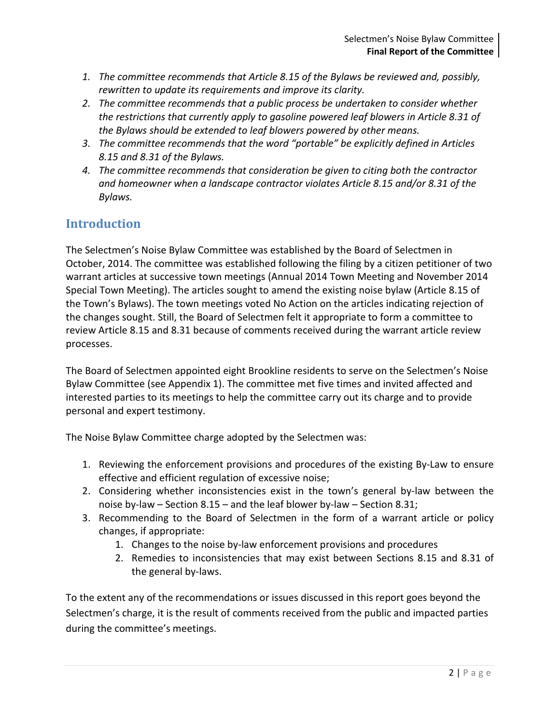- *1. The committee recommends that Article 8.15 of the Bylaws be reviewed and, possibly, rewritten to update its requirements and improve its clarity.*
- *2. The committee recommends that a public process be undertaken to consider whether the restrictions that currently apply to gasoline powered leaf blowers in Article 8.31 of the Bylaws should be extended to leaf blowers powered by other means.*
- *3. The committee recommends that the word "portable" be explicitly defined in Articles 8.15 and 8.31 of the Bylaws.*
- *4. The committee recommends that consideration be given to citing both the contractor and homeowner when a landscape contractor violates Article 8.15 and/or 8.31 of the Bylaws.*

# **Introduction**

The Selectmen's Noise Bylaw Committee was established by the Board of Selectmen in October, 2014. The committee was established following the filing by a citizen petitioner of two warrant articles at successive town meetings (Annual 2014 Town Meeting and November 2014 Special Town Meeting). The articles sought to amend the existing noise bylaw (Article 8.15 of the Town's Bylaws). The town meetings voted No Action on the articles indicating rejection of the changes sought. Still, the Board of Selectmen felt it appropriate to form a committee to review Article 8.15 and 8.31 because of comments received during the warrant article review processes.

The Board of Selectmen appointed eight Brookline residents to serve on the Selectmen's Noise Bylaw Committee (see Appendix 1). The committee met five times and invited affected and interested parties to its meetings to help the committee carry out its charge and to provide personal and expert testimony.

The Noise Bylaw Committee charge adopted by the Selectmen was:

- 1. Reviewing the enforcement provisions and procedures of the existing By-Law to ensure effective and efficient regulation of excessive noise;
- 2. Considering whether inconsistencies exist in the town's general by-law between the noise by-law – Section 8.15 – and the leaf blower by-law – Section 8.31;
- 3. Recommending to the Board of Selectmen in the form of a warrant article or policy changes, if appropriate:
	- 1. Changes to the noise by-law enforcement provisions and procedures
	- 2. Remedies to inconsistencies that may exist between Sections 8.15 and 8.31 of the general by-laws.

To the extent any of the recommendations or issues discussed in this report goes beyond the Selectmen's charge, it is the result of comments received from the public and impacted parties during the committee's meetings.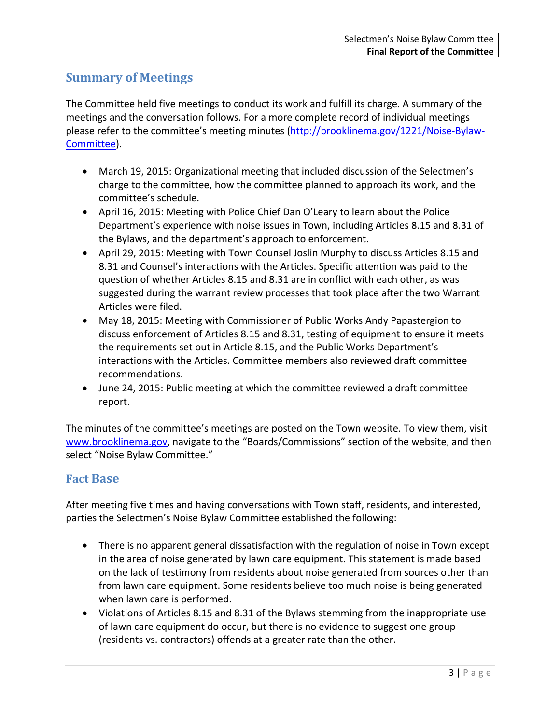## **Summary of Meetings**

The Committee held five meetings to conduct its work and fulfill its charge. A summary of the meetings and the conversation follows. For a more complete record of individual meetings please refer to the committee's meeting minutes [\(http://brooklinema.gov/1221/Noise-Bylaw-](http://brooklinema.gov/1221/Noise-Bylaw-Committee)[Committee\)](http://brooklinema.gov/1221/Noise-Bylaw-Committee).

- March 19, 2015: Organizational meeting that included discussion of the Selectmen's charge to the committee, how the committee planned to approach its work, and the committee's schedule.
- April 16, 2015: Meeting with Police Chief Dan O'Leary to learn about the Police Department's experience with noise issues in Town, including Articles 8.15 and 8.31 of the Bylaws, and the department's approach to enforcement.
- April 29, 2015: Meeting with Town Counsel Joslin Murphy to discuss Articles 8.15 and 8.31 and Counsel's interactions with the Articles. Specific attention was paid to the question of whether Articles 8.15 and 8.31 are in conflict with each other, as was suggested during the warrant review processes that took place after the two Warrant Articles were filed.
- May 18, 2015: Meeting with Commissioner of Public Works Andy Papastergion to discuss enforcement of Articles 8.15 and 8.31, testing of equipment to ensure it meets the requirements set out in Article 8.15, and the Public Works Department's interactions with the Articles. Committee members also reviewed draft committee recommendations.
- June 24, 2015: Public meeting at which the committee reviewed a draft committee report.

The minutes of the committee's meetings are posted on the Town website. To view them, visit [www.brooklinema.gov,](http://www.brooklinema.gov/) navigate to the "Boards/Commissions" section of the website, and then select "Noise Bylaw Committee."

## **Fact Base**

After meeting five times and having conversations with Town staff, residents, and interested, parties the Selectmen's Noise Bylaw Committee established the following:

- There is no apparent general dissatisfaction with the regulation of noise in Town except in the area of noise generated by lawn care equipment. This statement is made based on the lack of testimony from residents about noise generated from sources other than from lawn care equipment. Some residents believe too much noise is being generated when lawn care is performed.
- Violations of Articles 8.15 and 8.31 of the Bylaws stemming from the inappropriate use of lawn care equipment do occur, but there is no evidence to suggest one group (residents vs. contractors) offends at a greater rate than the other.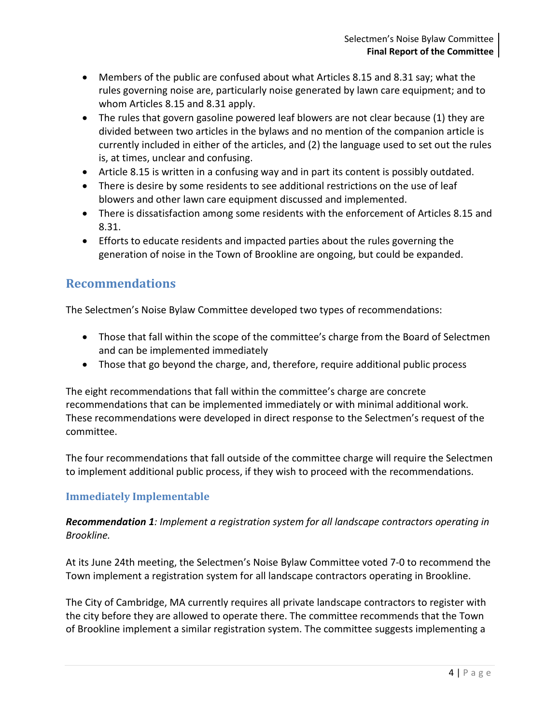- Members of the public are confused about what Articles 8.15 and 8.31 say; what the rules governing noise are, particularly noise generated by lawn care equipment; and to whom Articles 8.15 and 8.31 apply.
- The rules that govern gasoline powered leaf blowers are not clear because (1) they are divided between two articles in the bylaws and no mention of the companion article is currently included in either of the articles, and (2) the language used to set out the rules is, at times, unclear and confusing.
- Article 8.15 is written in a confusing way and in part its content is possibly outdated.
- There is desire by some residents to see additional restrictions on the use of leaf blowers and other lawn care equipment discussed and implemented.
- There is dissatisfaction among some residents with the enforcement of Articles 8.15 and 8.31.
- Efforts to educate residents and impacted parties about the rules governing the generation of noise in the Town of Brookline are ongoing, but could be expanded.

## **Recommendations**

The Selectmen's Noise Bylaw Committee developed two types of recommendations:

- Those that fall within the scope of the committee's charge from the Board of Selectmen and can be implemented immediately
- Those that go beyond the charge, and, therefore, require additional public process

The eight recommendations that fall within the committee's charge are concrete recommendations that can be implemented immediately or with minimal additional work. These recommendations were developed in direct response to the Selectmen's request of the committee.

The four recommendations that fall outside of the committee charge will require the Selectmen to implement additional public process, if they wish to proceed with the recommendations.

## **Immediately Implementable**

## *Recommendation 1: Implement a registration system for all landscape contractors operating in Brookline.*

At its June 24th meeting, the Selectmen's Noise Bylaw Committee voted 7-0 to recommend the Town implement a registration system for all landscape contractors operating in Brookline.

The City of Cambridge, MA currently requires all private landscape contractors to register with the city before they are allowed to operate there. The committee recommends that the Town of Brookline implement a similar registration system. The committee suggests implementing a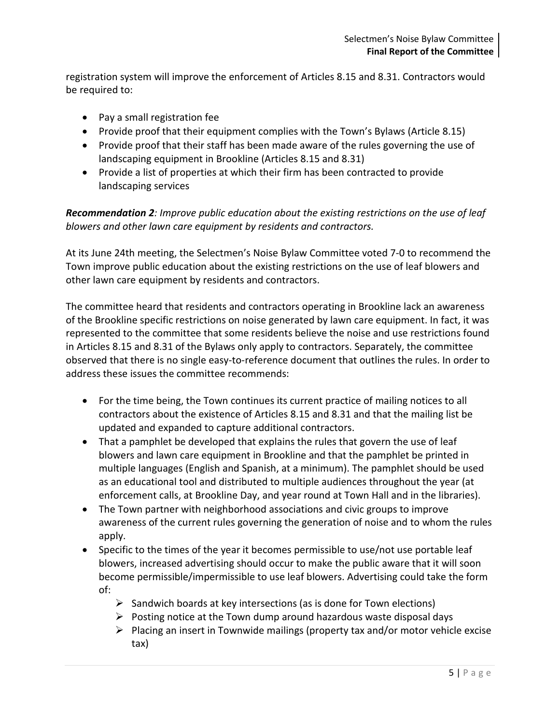registration system will improve the enforcement of Articles 8.15 and 8.31. Contractors would be required to:

- Pay a small registration fee
- Provide proof that their equipment complies with the Town's Bylaws (Article 8.15)
- Provide proof that their staff has been made aware of the rules governing the use of landscaping equipment in Brookline (Articles 8.15 and 8.31)
- Provide a list of properties at which their firm has been contracted to provide landscaping services

*Recommendation 2: Improve public education about the existing restrictions on the use of leaf blowers and other lawn care equipment by residents and contractors.*

At its June 24th meeting, the Selectmen's Noise Bylaw Committee voted 7-0 to recommend the Town improve public education about the existing restrictions on the use of leaf blowers and other lawn care equipment by residents and contractors.

The committee heard that residents and contractors operating in Brookline lack an awareness of the Brookline specific restrictions on noise generated by lawn care equipment. In fact, it was represented to the committee that some residents believe the noise and use restrictions found in Articles 8.15 and 8.31 of the Bylaws only apply to contractors. Separately, the committee observed that there is no single easy-to-reference document that outlines the rules. In order to address these issues the committee recommends:

- For the time being, the Town continues its current practice of mailing notices to all contractors about the existence of Articles 8.15 and 8.31 and that the mailing list be updated and expanded to capture additional contractors.
- That a pamphlet be developed that explains the rules that govern the use of leaf blowers and lawn care equipment in Brookline and that the pamphlet be printed in multiple languages (English and Spanish, at a minimum). The pamphlet should be used as an educational tool and distributed to multiple audiences throughout the year (at enforcement calls, at Brookline Day, and year round at Town Hall and in the libraries).
- The Town partner with neighborhood associations and civic groups to improve awareness of the current rules governing the generation of noise and to whom the rules apply.
- Specific to the times of the year it becomes permissible to use/not use portable leaf blowers, increased advertising should occur to make the public aware that it will soon become permissible/impermissible to use leaf blowers. Advertising could take the form of:
	- $\triangleright$  Sandwich boards at key intersections (as is done for Town elections)
	- $\triangleright$  Posting notice at the Town dump around hazardous waste disposal days
	- $\triangleright$  Placing an insert in Townwide mailings (property tax and/or motor vehicle excise tax)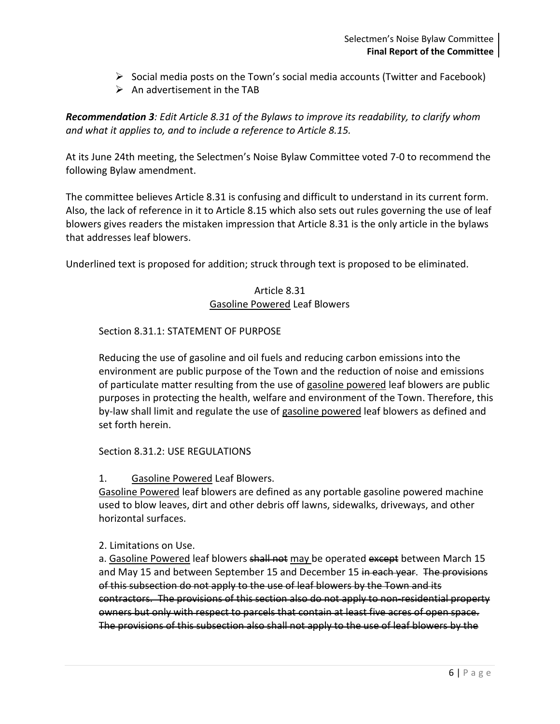- $\triangleright$  Social media posts on the Town's social media accounts (Twitter and Facebook)
- $\triangleright$  An advertisement in the TAB

*Recommendation 3: Edit Article 8.31 of the Bylaws to improve its readability, to clarify whom and what it applies to, and to include a reference to Article 8.15.*

At its June 24th meeting, the Selectmen's Noise Bylaw Committee voted 7-0 to recommend the following Bylaw amendment.

The committee believes Article 8.31 is confusing and difficult to understand in its current form. Also, the lack of reference in it to Article 8.15 which also sets out rules governing the use of leaf blowers gives readers the mistaken impression that Article 8.31 is the only article in the bylaws that addresses leaf blowers.

Underlined text is proposed for addition; struck through text is proposed to be eliminated.

### Article 8.31 Gasoline Powered Leaf Blowers

### Section 8.31.1: STATEMENT OF PURPOSE

Reducing the use of gasoline and oil fuels and reducing carbon emissions into the environment are public purpose of the Town and the reduction of noise and emissions of particulate matter resulting from the use of gasoline powered leaf blowers are public purposes in protecting the health, welfare and environment of the Town. Therefore, this by-law shall limit and regulate the use of gasoline powered leaf blowers as defined and set forth herein.

#### Section 8.31.2: USE REGULATIONS

1. Gasoline Powered Leaf Blowers.

Gasoline Powered leaf blowers are defined as any portable gasoline powered machine used to blow leaves, dirt and other debris off lawns, sidewalks, driveways, and other horizontal surfaces.

#### 2. Limitations on Use.

a. Gasoline Powered leaf blowers shall not may be operated except between March 15 and May 15 and between September 15 and December 15 in each year. The provisions of this subsection do not apply to the use of leaf blowers by the Town and its contractors. The provisions of this section also do not apply to non-residential property owners but only with respect to parcels that contain at least five acres of open space. The provisions of this subsection also shall not apply to the use of leaf blowers by the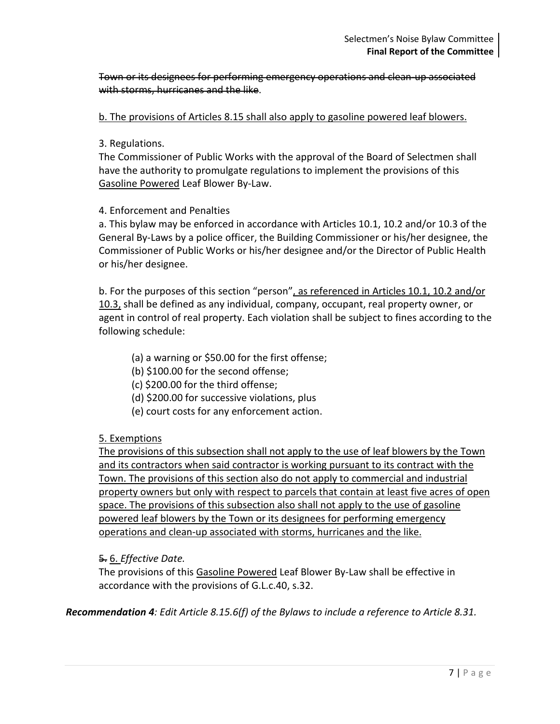Town or its designees for performing emergency operations and clean-up associated with storms, hurricanes and the like.

b. The provisions of Articles 8.15 shall also apply to gasoline powered leaf blowers.

### 3. Regulations.

The Commissioner of Public Works with the approval of the Board of Selectmen shall have the authority to promulgate regulations to implement the provisions of this Gasoline Powered Leaf Blower By-Law.

### 4. Enforcement and Penalties

a. This bylaw may be enforced in accordance with Articles 10.1, 10.2 and/or 10.3 of the General By-Laws by a police officer, the Building Commissioner or his/her designee, the Commissioner of Public Works or his/her designee and/or the Director of Public Health or his/her designee.

b. For the purposes of this section "person", as referenced in Articles 10.1, 10.2 and/or 10.3, shall be defined as any individual, company, occupant, real property owner, or agent in control of real property. Each violation shall be subject to fines according to the following schedule:

- (a) a warning or \$50.00 for the first offense;
- (b) \$100.00 for the second offense;
- (c) \$200.00 for the third offense;
- (d) \$200.00 for successive violations, plus
- (e) court costs for any enforcement action.

### 5. Exemptions

The provisions of this subsection shall not apply to the use of leaf blowers by the Town and its contractors when said contractor is working pursuant to its contract with the Town. The provisions of this section also do not apply to commercial and industrial property owners but only with respect to parcels that contain at least five acres of open space. The provisions of this subsection also shall not apply to the use of gasoline powered leaf blowers by the Town or its designees for performing emergency operations and clean-up associated with storms, hurricanes and the like.

### 5. 6. *Effective Date.*

The provisions of this Gasoline Powered Leaf Blower By-Law shall be effective in accordance with the provisions of G.L.c.40, s.32.

*Recommendation 4: Edit Article 8.15.6(f) of the Bylaws to include a reference to Article 8.31.*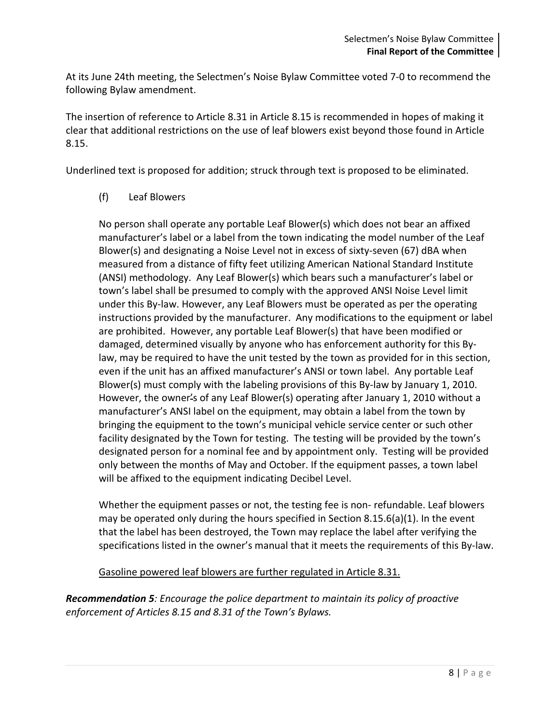At its June 24th meeting, the Selectmen's Noise Bylaw Committee voted 7-0 to recommend the following Bylaw amendment.

The insertion of reference to Article 8.31 in Article 8.15 is recommended in hopes of making it clear that additional restrictions on the use of leaf blowers exist beyond those found in Article 8.15.

Underlined text is proposed for addition; struck through text is proposed to be eliminated.

(f) Leaf Blowers

No person shall operate any portable Leaf Blower(s) which does not bear an affixed manufacturer's label or a label from the town indicating the model number of the Leaf Blower(s) and designating a Noise Level not in excess of sixty-seven (67) dBA when measured from a distance of fifty feet utilizing American National Standard Institute (ANSI) methodology. Any Leaf Blower(s) which bears such a manufacturer's label or town's label shall be presumed to comply with the approved ANSI Noise Level limit under this By-law. However, any Leaf Blowers must be operated as per the operating instructions provided by the manufacturer. Any modifications to the equipment or label are prohibited. However, any portable Leaf Blower(s) that have been modified or damaged, determined visually by anyone who has enforcement authority for this Bylaw, may be required to have the unit tested by the town as provided for in this section, even if the unit has an affixed manufacturer's ANSI or town label. Any portable Leaf Blower(s) must comply with the labeling provisions of this By-law by January 1, 2010. However, the owner's of any Leaf Blower(s) operating after January 1, 2010 without a manufacturer's ANSI label on the equipment, may obtain a label from the town by bringing the equipment to the town's municipal vehicle service center or such other facility designated by the Town for testing. The testing will be provided by the town's designated person for a nominal fee and by appointment only. Testing will be provided only between the months of May and October. If the equipment passes, a town label will be affixed to the equipment indicating Decibel Level.

Whether the equipment passes or not, the testing fee is non- refundable. Leaf blowers may be operated only during the hours specified in Section 8.15.6(a)(1). In the event that the label has been destroyed, the Town may replace the label after verifying the specifications listed in the owner's manual that it meets the requirements of this By-law.

Gasoline powered leaf blowers are further regulated in Article 8.31.

*Recommendation 5: Encourage the police department to maintain its policy of proactive enforcement of Articles 8.15 and 8.31 of the Town's Bylaws.*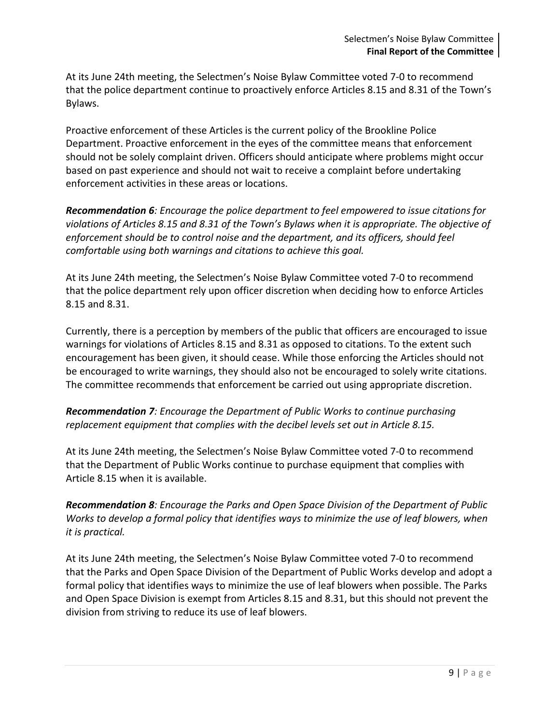At its June 24th meeting, the Selectmen's Noise Bylaw Committee voted 7-0 to recommend that the police department continue to proactively enforce Articles 8.15 and 8.31 of the Town's Bylaws.

Proactive enforcement of these Articles is the current policy of the Brookline Police Department. Proactive enforcement in the eyes of the committee means that enforcement should not be solely complaint driven. Officers should anticipate where problems might occur based on past experience and should not wait to receive a complaint before undertaking enforcement activities in these areas or locations.

*Recommendation 6: Encourage the police department to feel empowered to issue citations for violations of Articles 8.15 and 8.31 of the Town's Bylaws when it is appropriate. The objective of enforcement should be to control noise and the department, and its officers, should feel comfortable using both warnings and citations to achieve this goal.*

At its June 24th meeting, the Selectmen's Noise Bylaw Committee voted 7-0 to recommend that the police department rely upon officer discretion when deciding how to enforce Articles 8.15 and 8.31.

Currently, there is a perception by members of the public that officers are encouraged to issue warnings for violations of Articles 8.15 and 8.31 as opposed to citations. To the extent such encouragement has been given, it should cease. While those enforcing the Articles should not be encouraged to write warnings, they should also not be encouraged to solely write citations. The committee recommends that enforcement be carried out using appropriate discretion.

*Recommendation 7: Encourage the Department of Public Works to continue purchasing replacement equipment that complies with the decibel levels set out in Article 8.15.*

At its June 24th meeting, the Selectmen's Noise Bylaw Committee voted 7-0 to recommend that the Department of Public Works continue to purchase equipment that complies with Article 8.15 when it is available.

*Recommendation 8: Encourage the Parks and Open Space Division of the Department of Public Works to develop a formal policy that identifies ways to minimize the use of leaf blowers, when it is practical.*

At its June 24th meeting, the Selectmen's Noise Bylaw Committee voted 7-0 to recommend that the Parks and Open Space Division of the Department of Public Works develop and adopt a formal policy that identifies ways to minimize the use of leaf blowers when possible. The Parks and Open Space Division is exempt from Articles 8.15 and 8.31, but this should not prevent the division from striving to reduce its use of leaf blowers.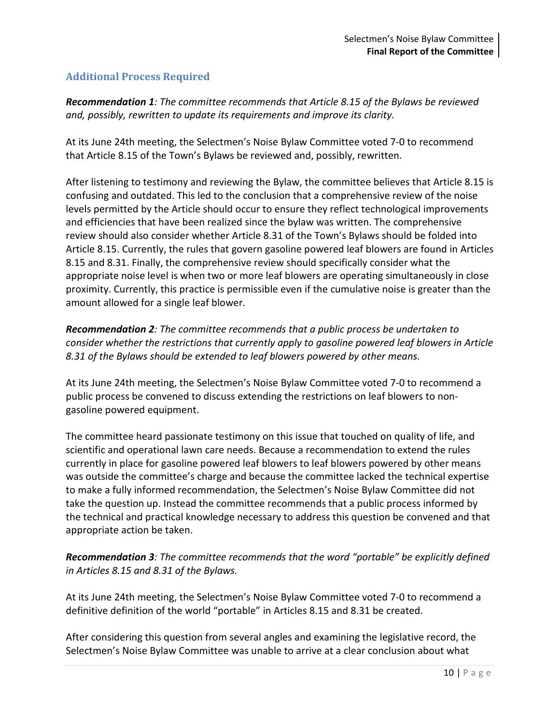## **Additional Process Required**

*Recommendation 1: The committee recommends that Article 8.15 of the Bylaws be reviewed and, possibly, rewritten to update its requirements and improve its clarity.*

At its June 24th meeting, the Selectmen's Noise Bylaw Committee voted 7-0 to recommend that Article 8.15 of the Town's Bylaws be reviewed and, possibly, rewritten.

After listening to testimony and reviewing the Bylaw, the committee believes that Article 8.15 is confusing and outdated. This led to the conclusion that a comprehensive review of the noise levels permitted by the Article should occur to ensure they reflect technological improvements and efficiencies that have been realized since the bylaw was written. The comprehensive review should also consider whether Article 8.31 of the Town's Bylaws should be folded into Article 8.15. Currently, the rules that govern gasoline powered leaf blowers are found in Articles 8.15 and 8.31. Finally, the comprehensive review should specifically consider what the appropriate noise level is when two or more leaf blowers are operating simultaneously in close proximity. Currently, this practice is permissible even if the cumulative noise is greater than the amount allowed for a single leaf blower.

*Recommendation 2: The committee recommends that a public process be undertaken to consider whether the restrictions that currently apply to gasoline powered leaf blowers in Article 8.31 of the Bylaws should be extended to leaf blowers powered by other means.*

At its June 24th meeting, the Selectmen's Noise Bylaw Committee voted 7-0 to recommend a public process be convened to discuss extending the restrictions on leaf blowers to nongasoline powered equipment.

The committee heard passionate testimony on this issue that touched on quality of life, and scientific and operational lawn care needs. Because a recommendation to extend the rules currently in place for gasoline powered leaf blowers to leaf blowers powered by other means was outside the committee's charge and because the committee lacked the technical expertise to make a fully informed recommendation, the Selectmen's Noise Bylaw Committee did not take the question up. Instead the committee recommends that a public process informed by the technical and practical knowledge necessary to address this question be convened and that appropriate action be taken.

*Recommendation 3: The committee recommends that the word "portable" be explicitly defined in Articles 8.15 and 8.31 of the Bylaws.*

At its June 24th meeting, the Selectmen's Noise Bylaw Committee voted 7-0 to recommend a definitive definition of the world "portable" in Articles 8.15 and 8.31 be created.

After considering this question from several angles and examining the legislative record, the Selectmen's Noise Bylaw Committee was unable to arrive at a clear conclusion about what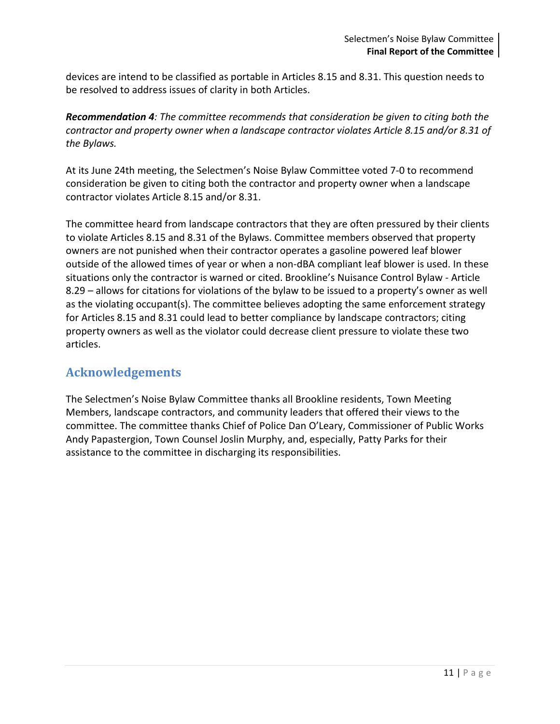devices are intend to be classified as portable in Articles 8.15 and 8.31. This question needs to be resolved to address issues of clarity in both Articles.

*Recommendation 4: The committee recommends that consideration be given to citing both the contractor and property owner when a landscape contractor violates Article 8.15 and/or 8.31 of the Bylaws.*

At its June 24th meeting, the Selectmen's Noise Bylaw Committee voted 7-0 to recommend consideration be given to citing both the contractor and property owner when a landscape contractor violates Article 8.15 and/or 8.31.

The committee heard from landscape contractors that they are often pressured by their clients to violate Articles 8.15 and 8.31 of the Bylaws. Committee members observed that property owners are not punished when their contractor operates a gasoline powered leaf blower outside of the allowed times of year or when a non-dBA compliant leaf blower is used. In these situations only the contractor is warned or cited. Brookline's Nuisance Control Bylaw - Article 8.29 – allows for citations for violations of the bylaw to be issued to a property's owner as well as the violating occupant(s). The committee believes adopting the same enforcement strategy for Articles 8.15 and 8.31 could lead to better compliance by landscape contractors; citing property owners as well as the violator could decrease client pressure to violate these two articles.

# **Acknowledgements**

The Selectmen's Noise Bylaw Committee thanks all Brookline residents, Town Meeting Members, landscape contractors, and community leaders that offered their views to the committee. The committee thanks Chief of Police Dan O'Leary, Commissioner of Public Works Andy Papastergion, Town Counsel Joslin Murphy, and, especially, Patty Parks for their assistance to the committee in discharging its responsibilities.